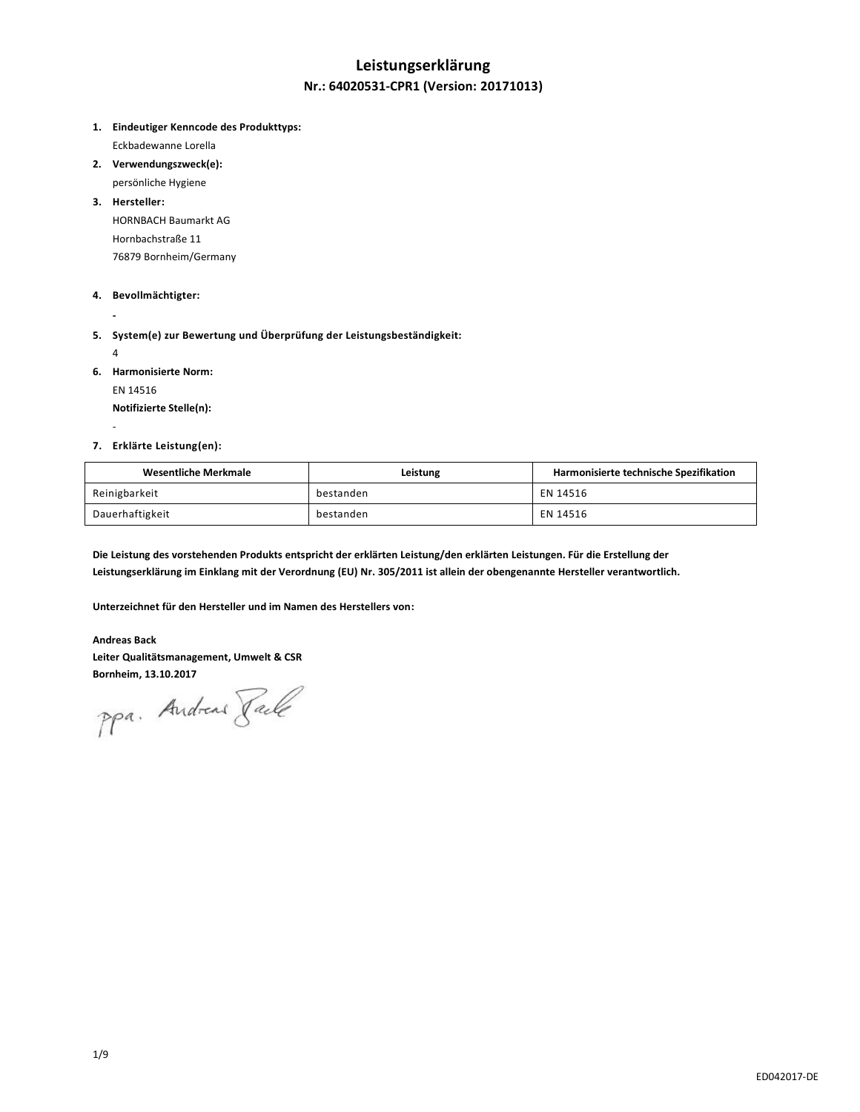# **Leistungserklärung Nr.: 64020531-CPR1 (Version: 20171013)**

**1. Eindeutiger Kenncode des Produkttyps:**

Eckbadewanne Lorella

- **2. Verwendungszweck(e):**
	- persönliche Hygiene

**3. Hersteller:** HORNBACH Baumarkt AG Hornbachstraße 11 76879 Bornheim/Germany

### **4. Bevollmächtigter:**

**5. System(e) zur Bewertung und Überprüfung der Leistungsbeständigkeit:**

4

-

**-**

**6. Harmonisierte Norm:**

EN 14516

**Notifizierte Stelle(n):**

### **7. Erklärte Leistung(en):**

| Wesentliche Merkmale | Leistung  | Harmonisierte technische Spezifikation |
|----------------------|-----------|----------------------------------------|
| Reinigbarkeit        | bestanden | EN 14516                               |
| Dauerhaftigkeit      | bestanden | EN 14516                               |

**Die Leistung des vorstehenden Produkts entspricht der erklärten Leistung/den erklärten Leistungen. Für die Erstellung der Leistungserklärung im Einklang mit der Verordnung (EU) Nr. 305/2011 ist allein der obengenannte Hersteller verantwortlich.**

**Unterzeichnet für den Hersteller und im Namen des Herstellers von:**

#### **Andreas Back**

**Leiter Qualitätsmanagement, Umwelt & CSR**

Bornheim, 13.10.2017<br>PPa. Andreas *Jale*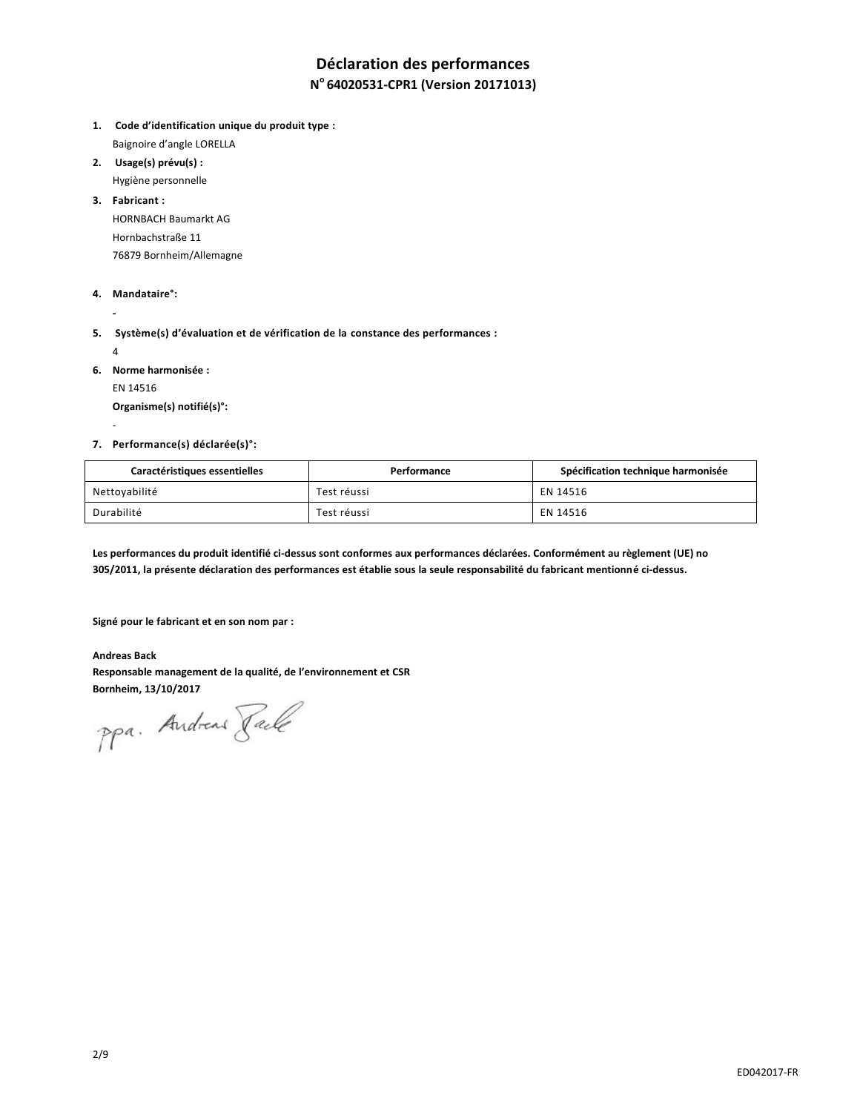# **Déclaration des performances**

## **N <sup>o</sup>64020531-CPR1 (Version 20171013)**

- **1. Code d'identification unique du produit type :** Baignoire d'angle LORELLA
- **2. Usage(s) prévu(s) :**
	- Hygiène personnelle
- **3. Fabricant :**

HORNBACH Baumarkt AG Hornbachstraße 11 76879 Bornheim/Allemagne

### **4. Mandataire°:**

**5. Système(s) d'évaluation et de vérification de la constance des performances :**

4

-

**-**

- **6. Norme harmonisée :**
	- EN 14516

**Organisme(s) notifié(s)°:**

### **7. Performance(s) déclarée(s)°:**

| Caractéristiques essentielles | Performance | Spécification technique harmonisée |
|-------------------------------|-------------|------------------------------------|
| Nettoyabilité                 | Test réussi | EN 14516                           |
| Durabilité                    | Test réussi | EN 14516                           |

**Les performances du produit identifié ci-dessus sont conformes aux performances déclarées. Conformément au règlement (UE) no 305/2011, la présente déclaration des performances est établie sous la seule responsabilité du fabricant mentionné ci-dessus.**

**Signé pour le fabricant et en son nom par :**

**Andreas Back Responsable management de la qualité, de l'environnement et CSR Bornheim, 13/10/2017**

ppa. Andreas Face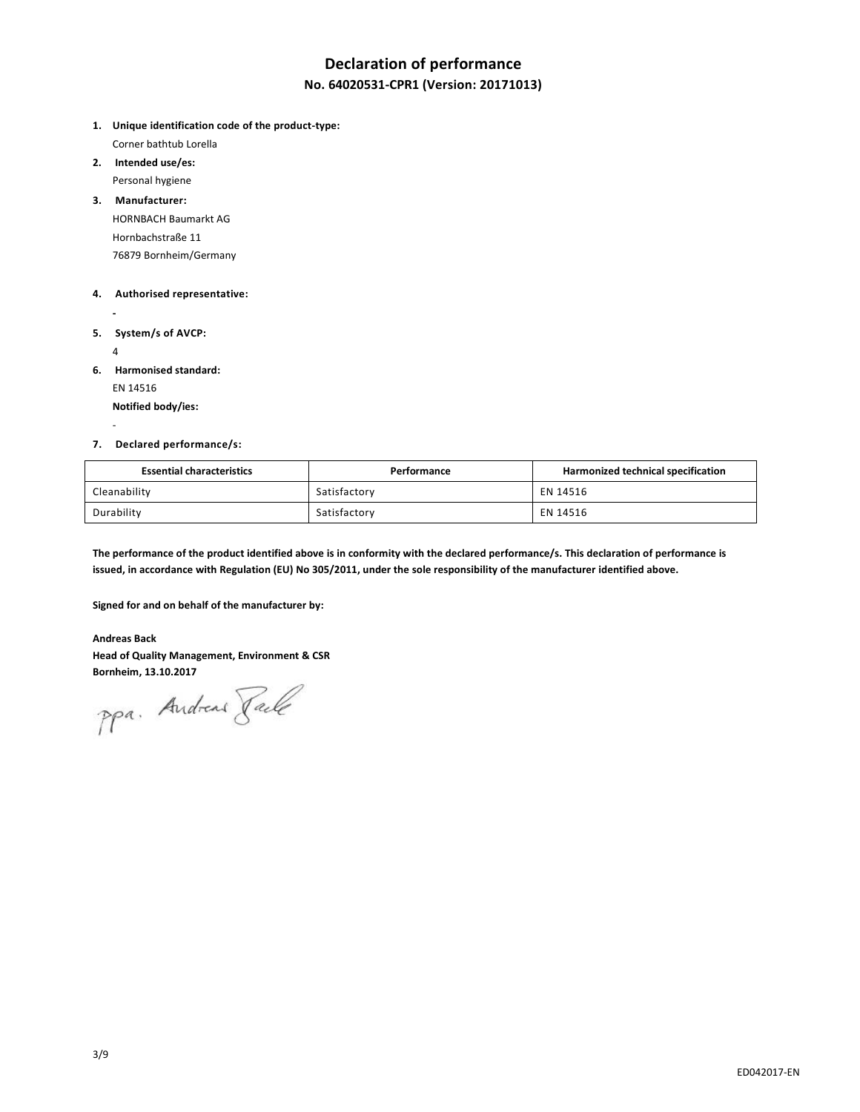## **Declaration of performance**

## **No. 64020531-CPR1 (Version: 20171013)**

- **1. Unique identification code of the product-type:** Corner bathtub Lorella
- **2. Intended use/es:** Personal hygiene
- **3. Manufacturer:** HORNBACH Baumarkt AG Hornbachstraße 11

76879 Bornheim/Germany

### **4. Authorised representative:**

- **5. System/s of AVCP:**
	- 4

-

**-**

**6. Harmonised standard:**

EN 14516

**Notified body/ies:**

### **7. Declared performance/s:**

| <b>Essential characteristics</b> | Performance  | Harmonized technical specification |
|----------------------------------|--------------|------------------------------------|
| Cleanability                     | Satisfactory | EN 14516                           |
| Durability                       | Satisfactory | EN 14516                           |

**The performance of the product identified above is in conformity with the declared performance/s. This declaration of performance is issued, in accordance with Regulation (EU) No 305/2011, under the sole responsibility of the manufacturer identified above.**

**Signed for and on behalf of the manufacturer by:**

### **Andreas Back**

**Head of Quality Management, Environment & CSR**

Bornheim, 13.10.2017<br>PPa. Andread *Jale*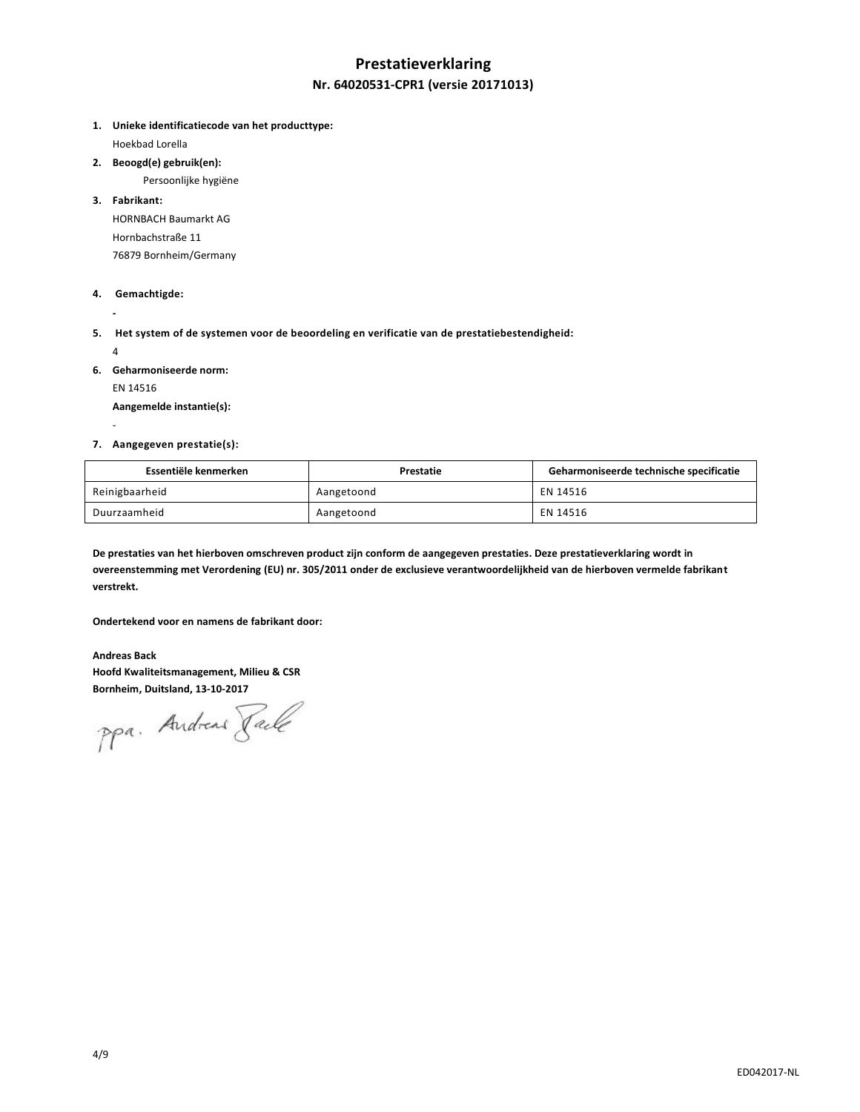# **Prestatieverklaring Nr. 64020531-CPR1 (versie 20171013)**

**1. Unieke identificatiecode van het producttype:**

Hoekbad Lorella

**2. Beoogd(e) gebruik(en):**

Persoonlijke hygiëne

**3. Fabrikant:**

HORNBACH Baumarkt AG Hornbachstraße 11 76879 Bornheim/Germany

### **4. Gemachtigde:**

**5. Het system of de systemen voor de beoordeling en verificatie van de prestatiebestendigheid:** 

4

-

**-**

- **6. Geharmoniseerde norm:**
	- EN 14516

**Aangemelde instantie(s):**

### **7. Aangegeven prestatie(s):**

| Essentiële kenmerken | Prestatie  | Geharmoniseerde technische specificatie |
|----------------------|------------|-----------------------------------------|
| Reinigbaarheid       | Aangetoond | EN 14516                                |
| Duurzaamheid         | Aangetoond | EN 14516                                |

**De prestaties van het hierboven omschreven product zijn conform de aangegeven prestaties. Deze prestatieverklaring wordt in overeenstemming met Verordening (EU) nr. 305/2011 onder de exclusieve verantwoordelijkheid van de hierboven vermelde fabrikant verstrekt.**

**Ondertekend voor en namens de fabrikant door:**

**Andreas Back Hoofd Kwaliteitsmanagement, Milieu & CSR Bornheim, Duitsland, 13-10-2017**

ppa. Andreas Faile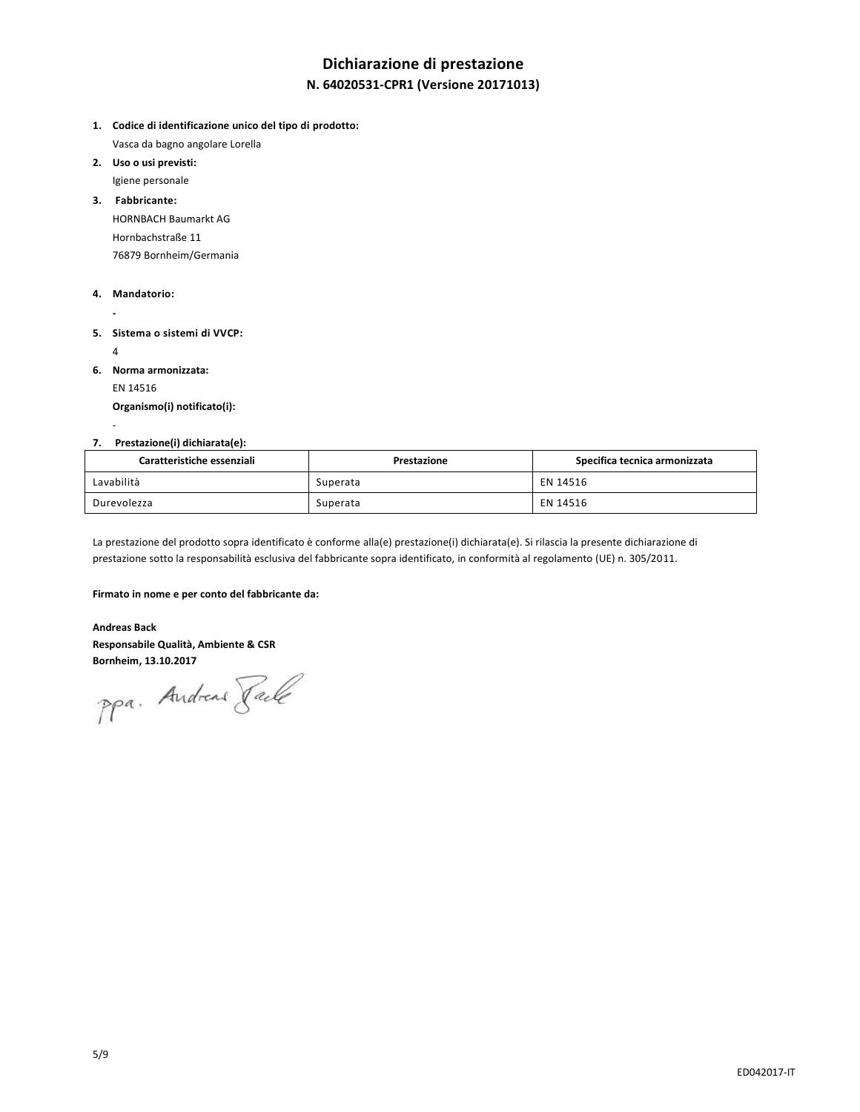# **Dichiarazione di prestazione**

## **N. 64020531-CPR1 (Versione 20171013)**

- **1. Codice di identificazione unico del tipo di prodotto:** Vasca da bagno angolare Lorella
- **2. Uso o usi previsti:** Igiene personale
- **3. Fabbricante:** HORNBACH Baumarkt AG
	- Hornbachstraße 11 76879 Bornheim/Germania

### **4. Mandatorio:**

- **5. Sistema o sistemi di VVCP:** 
	- 4

-

**-**

- **6. Norma armonizzata:**
	- EN 14516

**Organismo(i) notificato(i):**

### **7. Prestazione(i) dichiarata(e):**

| Caratteristiche essenziali | Prestazione | Specifica tecnica armonizzata |
|----------------------------|-------------|-------------------------------|
| Lavabilità                 | Superata    | EN 14516                      |
| Durevolezza                | Superata    | EN 14516                      |

La prestazione del prodotto sopra identificato è conforme alla(e) prestazione(i) dichiarata(e). Si rilascia la presente dichiarazione di prestazione sotto la responsabilità esclusiva del fabbricante sopra identificato, in conformità al regolamento (UE) n. 305/2011.

#### **Firmato in nome e per conto del fabbricante da:**

**Andreas Back Responsabile Qualità, Ambiente & CSR**

**Bornheim, 13.10.2017**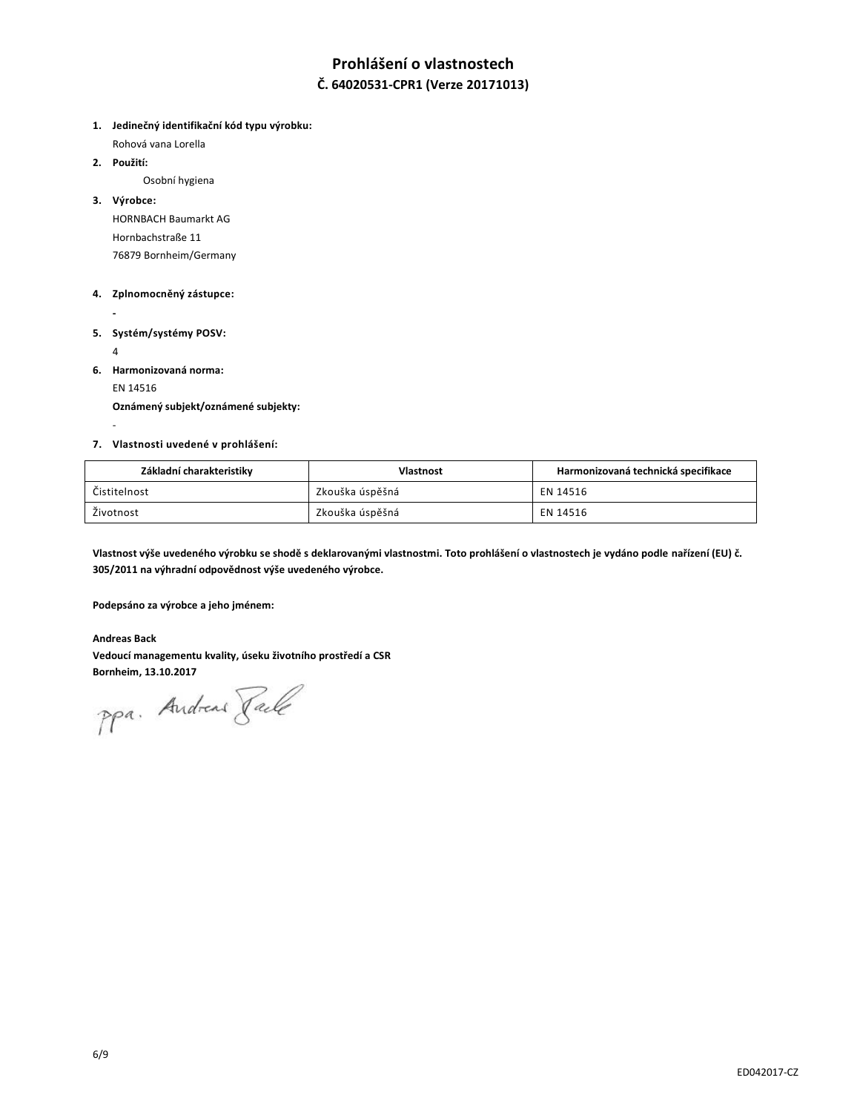# **Prohlášení o vlastnostech**

### **Č. 64020531-CPR1 (Verze 20171013)**

**1. Jedinečný identifikační kód typu výrobku:**

Rohová vana Lorella

**2. Použití:**

Osobní hygiena

**3. Výrobce:**

HORNBACH Baumarkt AG Hornbachstraße 11 76879 Bornheim/Germany

### **4. Zplnomocněný zástupce:**

**- 5. Systém/systémy POSV:**

4

-

- 
- **6. Harmonizovaná norma:**

EN 14516

**Oznámený subjekt/oznámené subjekty:**

### **7. Vlastnosti uvedené v prohlášení:**

| Základní charakteristiky | <b>Vlastnost</b> | Harmonizovaná technická specifikace |
|--------------------------|------------------|-------------------------------------|
| Čistitelnost             | Zkouška úspěšná  | EN 14516                            |
| Životnost                | Zkouška úspěšná  | EN 14516                            |

**Vlastnost výše uvedeného výrobku se shodě s deklarovanými vlastnostmi. Toto prohlášení o vlastnostech je vydáno podle nařízení (EU) č. 305/2011 na výhradní odpovědnost výše uvedeného výrobce.**

**Podepsáno za výrobce a jeho jménem:**

### **Andreas Back**

**Vedoucí managementu kvality, úseku životního prostředí a CSR**

Bornheim, 13.10.2017<br>PPa. Andread *Jale*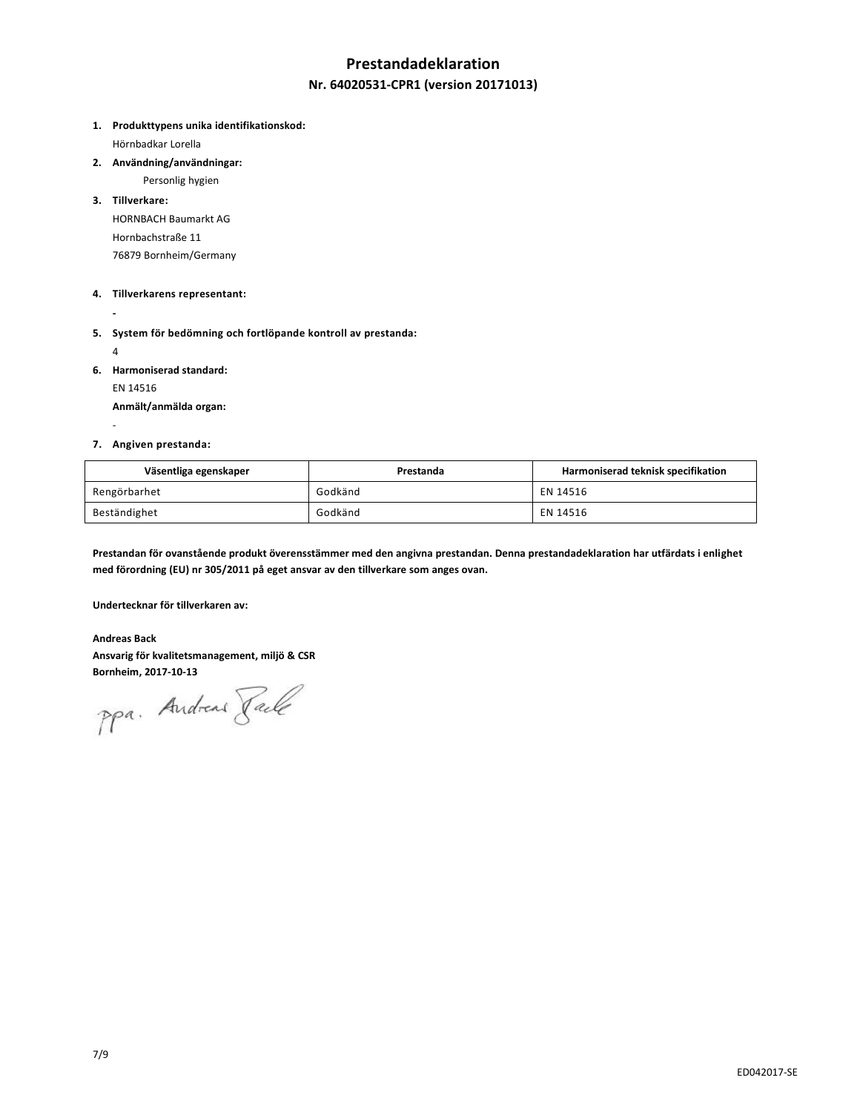## **Prestandadeklaration**

### **Nr. 64020531-CPR1 (version 20171013)**

**1. Produkttypens unika identifikationskod:**

Hörnbadkar Lorella

**2. Användning/användningar:**

Personlig hygien

**3. Tillverkare:** HORNBACH Baumarkt AG Hornbachstraße 11 76879 Bornheim/Germany

#### **4. Tillverkarens representant:**

- **-**
- **5. System för bedömning och fortlöpande kontroll av prestanda:**
	- 4

-

**6. Harmoniserad standard:**

EN 14516

**Anmält/anmälda organ:**

### **7. Angiven prestanda:**

| Väsentliga egenskaper | Prestanda | Harmoniserad teknisk specifikation |
|-----------------------|-----------|------------------------------------|
| Rengörbarhet          | Godkänd   | EN 14516                           |
| Beständighet          | Godkänd   | EN 14516                           |

**Prestandan för ovanstående produkt överensstämmer med den angivna prestandan. Denna prestandadeklaration har utfärdats i enlighet med förordning (EU) nr 305/2011 på eget ansvar av den tillverkare som anges ovan.**

**Undertecknar för tillverkaren av:**

**Andreas Back Ansvarig för kvalitetsmanagement, miljö & CSR**

**Bornheim, 2017-10-13**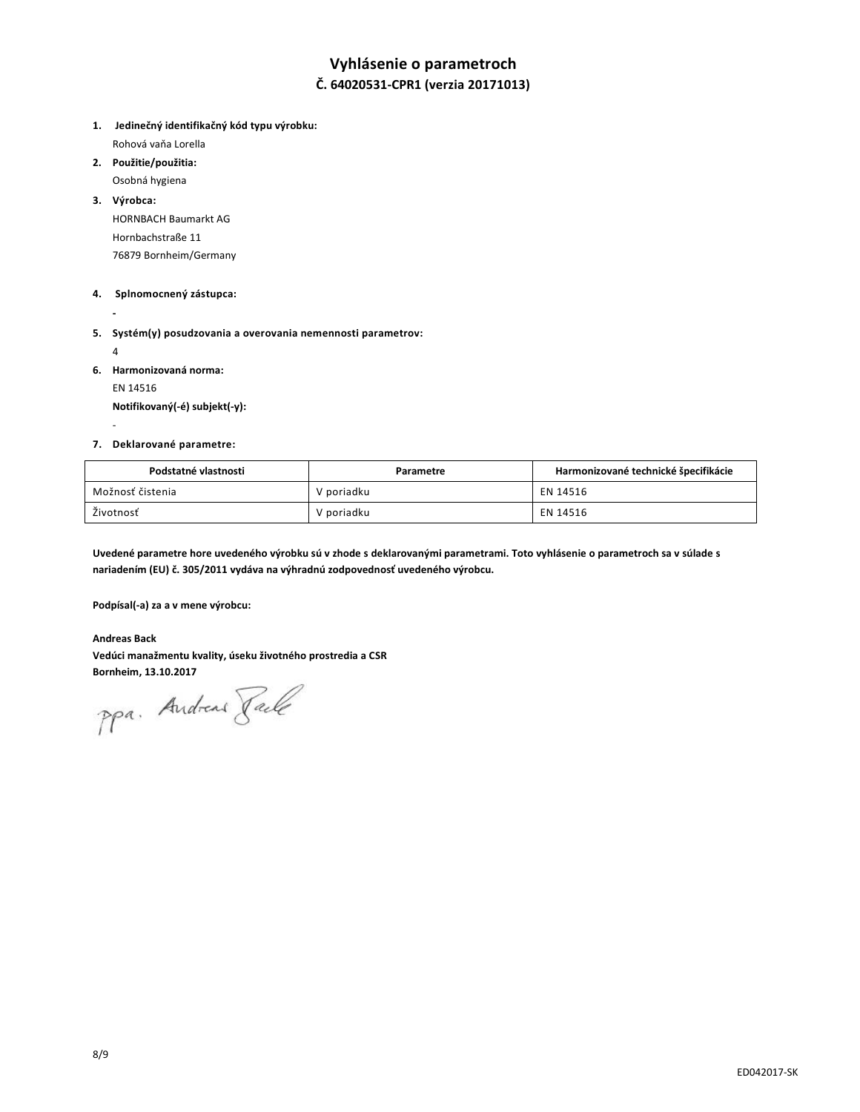## **Vyhlásenie o parametroch**

## **Č. 64020531-CPR1 (verzia 20171013)**

- **1. Jedinečný identifikačný kód typu výrobku:**  Rohová vaňa Lorella
- **2. Použitie/použitia:**
- Osobná hygiena
- **3. Výrobca:**

HORNBACH Baumarkt AG Hornbachstraße 11 76879 Bornheim/Germany

### **4. Splnomocnený zástupca:**

**-**

**5. Systém(y) posudzovania a overovania nemennosti parametrov:** 

4

-

**6. Harmonizovaná norma:**

EN 14516

**Notifikovaný(-é) subjekt(-y):**

### **7. Deklarované parametre:**

| Podstatné vlastnosti | Parametre  | Harmonizované technické špecifikácie |
|----------------------|------------|--------------------------------------|
| Možnosť čistenia     | V poriadku | EN 14516                             |
| Životnosť            | V poriadku | EN 14516                             |

**Uvedené parametre hore uvedeného výrobku sú v zhode s deklarovanými parametrami. Toto vyhlásenie o parametroch sa v súlade s nariadením (EU) č. 305/2011 vydáva na výhradnú zodpovednosť uvedeného výrobcu.**

**Podpísal(-a) za a v mene výrobcu:**

**Andreas Back Vedúci manažmentu kvality, úseku životného prostredia a CSR**

Bornheim, 13.10.2017<br>PPa. Andread *Jale*